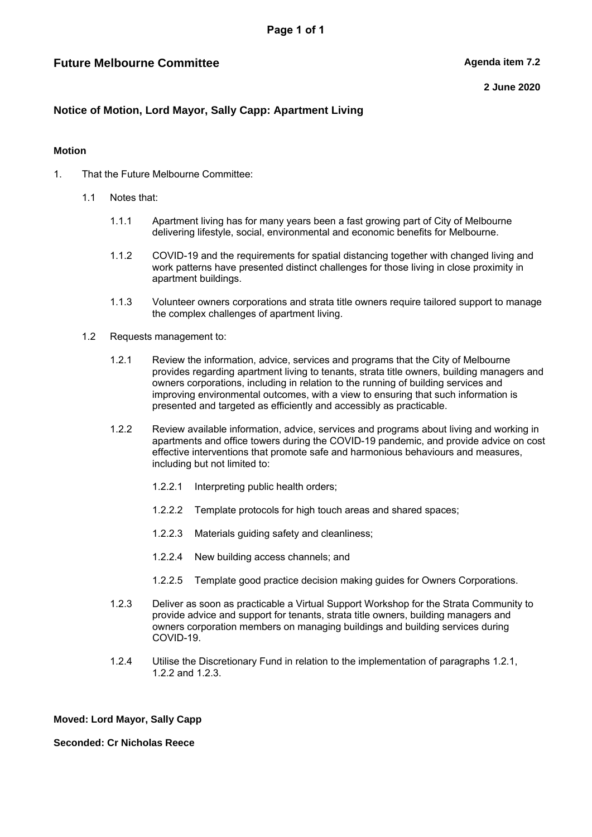# **Future Melbourne Committee**  Agenda item 7.2

**2 June 2020**

## **Notice of Motion, Lord Mayor, Sally Capp: Apartment Living**

### **Motion**

- 1. That the Future Melbourne Committee:
	- 1.1 Notes that:
		- 1.1.1 Apartment living has for many years been a fast growing part of City of Melbourne delivering lifestyle, social, environmental and economic benefits for Melbourne.
		- 1.1.2 COVID-19 and the requirements for spatial distancing together with changed living and work patterns have presented distinct challenges for those living in close proximity in apartment buildings.
		- 1.1.3 Volunteer owners corporations and strata title owners require tailored support to manage the complex challenges of apartment living.
	- 1.2 Requests management to:
		- 1.2.1 Review the information, advice, services and programs that the City of Melbourne provides regarding apartment living to tenants, strata title owners, building managers and owners corporations, including in relation to the running of building services and improving environmental outcomes, with a view to ensuring that such information is presented and targeted as efficiently and accessibly as practicable.
		- 1.2.2 Review available information, advice, services and programs about living and working in apartments and office towers during the COVID-19 pandemic, and provide advice on cost effective interventions that promote safe and harmonious behaviours and measures, including but not limited to:
			- 1.2.2.1 Interpreting public health orders;
			- 1.2.2.2 Template protocols for high touch areas and shared spaces;
			- 1.2.2.3 Materials guiding safety and cleanliness;
			- 1.2.2.4 New building access channels; and
			- 1.2.2.5 Template good practice decision making guides for Owners Corporations.
		- 1.2.3 Deliver as soon as practicable a Virtual Support Workshop for the Strata Community to provide advice and support for tenants, strata title owners, building managers and owners corporation members on managing buildings and building services during COVID-19.
		- 1.2.4 Utilise the Discretionary Fund in relation to the implementation of paragraphs 1.2.1, 1.2.2 and 1.2.3.

#### **Moved: Lord Mayor, Sally Capp**

#### **Seconded: Cr Nicholas Reece**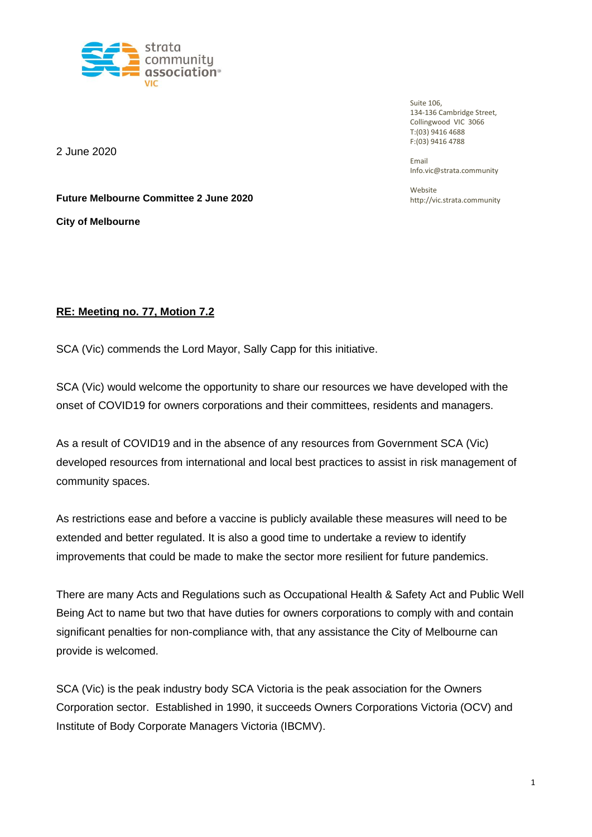

**Future Melbourne Committee 2 June 2020**

Suite 106, 134-136 Cambridge Street, Collingwood VIC 3066 T:(03) 9416 4688 F:(03) 9416 4788

Email Info.vic@strata.community

Website http://vic.strata.community

2 June 2020

**City of Melbourne**

# **RE: Meeting no. 77, Motion 7.2**

SCA (Vic) commends the Lord Mayor, Sally Capp for this initiative.

SCA (Vic) would welcome the opportunity to share our resources we have developed with the onset of COVID19 for owners corporations and their committees, residents and managers.

As a result of COVID19 and in the absence of any resources from Government SCA (Vic) developed resources from international and local best practices to assist in risk management of community spaces.

As restrictions ease and before a vaccine is publicly available these measures will need to be extended and better regulated. It is also a good time to undertake a review to identify improvements that could be made to make the sector more resilient for future pandemics.

There are many Acts and Regulations such as Occupational Health & Safety Act and Public Well Being Act to name but two that have duties for owners corporations to comply with and contain significant penalties for non-compliance with, that any assistance the City of Melbourne can provide is welcomed.

SCA (Vic) is the peak industry body SCA Victoria is the peak association for the Owners Corporation sector. Established in 1990, it succeeds Owners Corporations Victoria (OCV) and Institute of Body Corporate Managers Victoria (IBCMV).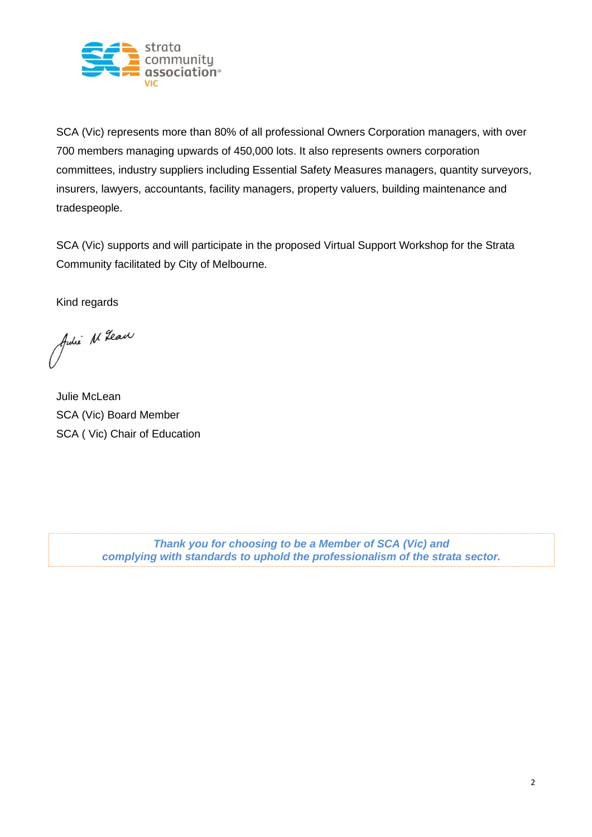

SCA (Vic) represents more than 80% of all professional Owners Corporation managers, with over 700 members managing upwards of 450,000 lots. It also represents owners corporation committees, industry suppliers including Essential Safety Measures managers, quantity surveyors, insurers, lawyers, accountants, facility managers, property valuers, building maintenance and tradespeople.

SCA (Vic) supports and will participate in the proposed Virtual Support Workshop for the Strata Community facilitated by City of Melbourne.

Kind regards

Julie N. Gear

Julie McLean SCA (Vic) Board Member SCA ( Vic) Chair of Education

*Thank you for choosing to be a Member of SCA (Vic) and complying with standards to uphold the professionalism of the strata sector.*